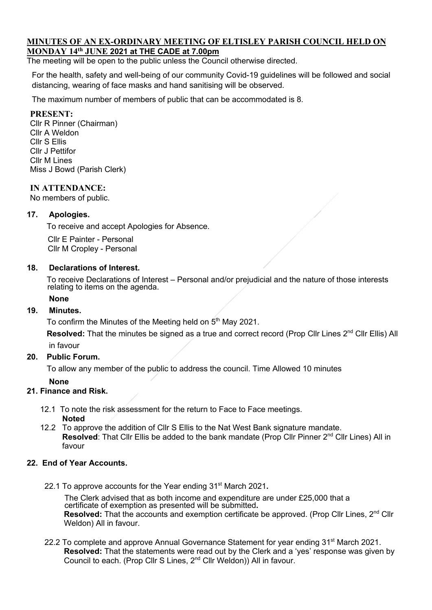#### **MINUTES OF AN EX-ORDINARY MEETING OF ELTISLEY PARISH COUNCIL HELD ON MONDAY 14th JUNE 2021 at THE CADE at 7.00pm**

The meeting will be open to the public unless the Council otherwise directed.

For the health, safety and well-being of our community Covid-19 guidelines will be followed and social distancing, wearing of face masks and hand sanitising will be observed.

The maximum number of members of public that can be accommodated is 8.

### **PRESENT:**

Cllr R Pinner (Chairman) Cllr A Weldon Cllr S Ellis Cllr J Pettifor Cllr M Lines Miss J Bowd (Parish Clerk)

#### **IN ATTENDANCE:**

No members of public.

#### $17<sub>1</sub>$ **17. Apologies.**

To receive and accept Apologies for Absence.

 Cllr E Painter - Personal Cllr M Cropley - Personal

#### **18. Declarations of Interest.**

To receive Declarations of Interest – Personal and/or prejudicial and the nature of those interests relating to items on the agenda.

#### **None**

#### **19. Minutes.**

To confirm the Minutes of the Meeting held on 5<sup>th</sup> May 2021.

**Resolved:** That the minutes be signed as a true and correct record (Prop Cllr Lines 2<sup>nd</sup> Cllr Ellis) All in favour

## **20. Public Forum.**

To allow any member of the public to address the council. Time Allowed 10 minutes

#### **None**

## **21. Finance and Risk.**

- 12.1 To note the risk assessment for the return to Face to Face meetings. **Noted**
- 12.2 To approve the addition of Cllr S Ellis to the Nat West Bank signature mandate. Resolved: That Cllr Ellis be added to the bank mandate (Prop Cllr Pinner 2<sup>nd</sup> Cllr Lines) All in favour

## **22. End of Year Accounts.**

22.1 To approve accounts for the Year ending 31st March 2021**.**

The Clerk advised that as both income and expenditure are under £25,000 that a certificate of exemption as presented will be submitted**. Resolved:** That the accounts and exemption certificate be approved. (Prop Cllr Lines, 2<sup>nd</sup> Cllr Weldon) All in favour.

22.2 To complete and approve Annual Governance Statement for year ending 31<sup>st</sup> March 2021. **Resolved:** That the statements were read out by the Clerk and a 'yes' response was given by Council to each. (Prop Cllr S Lines, 2nd Cllr Weldon)) All in favour.